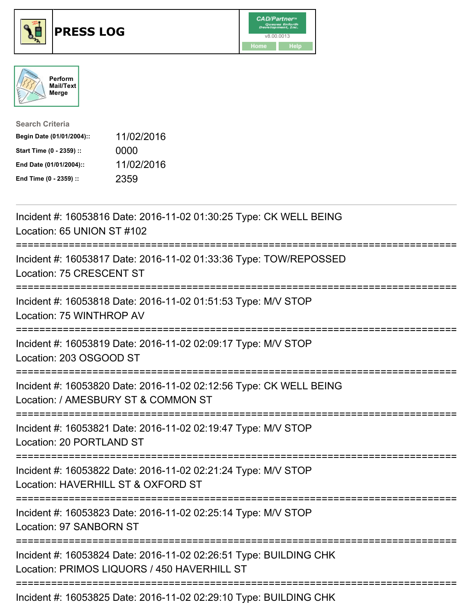





| <b>Search Criteria</b>    |            |
|---------------------------|------------|
| Begin Date (01/01/2004):: | 11/02/2016 |
| Start Time (0 - 2359) ::  | 0000       |
| End Date (01/01/2004)::   | 11/02/2016 |
| End Time (0 - 2359) ::    | 2359       |

| Incident #: 16053816 Date: 2016-11-02 01:30:25 Type: CK WELL BEING<br>Location: 65 UNION ST #102                                            |
|---------------------------------------------------------------------------------------------------------------------------------------------|
| Incident #: 16053817 Date: 2016-11-02 01:33:36 Type: TOW/REPOSSED<br>Location: 75 CRESCENT ST<br>-------------                              |
| Incident #: 16053818 Date: 2016-11-02 01:51:53 Type: M/V STOP<br>Location: 75 WINTHROP AV<br>================                               |
| Incident #: 16053819 Date: 2016-11-02 02:09:17 Type: M/V STOP<br>Location: 203 OSGOOD ST<br>__________________________________              |
| Incident #: 16053820 Date: 2016-11-02 02:12:56 Type: CK WELL BEING<br>Location: / AMESBURY ST & COMMON ST<br>============================== |
| Incident #: 16053821 Date: 2016-11-02 02:19:47 Type: M/V STOP<br>Location: 20 PORTLAND ST                                                   |
| Incident #: 16053822 Date: 2016-11-02 02:21:24 Type: M/V STOP<br>Location: HAVERHILL ST & OXFORD ST                                         |
| Incident #: 16053823 Date: 2016-11-02 02:25:14 Type: M/V STOP<br>Location: 97 SANBORN ST                                                    |
| Incident #: 16053824 Date: 2016-11-02 02:26:51 Type: BUILDING CHK<br>Location: PRIMOS LIQUORS / 450 HAVERHILL ST                            |
| Incident #: 16053825 Date: 2016-11-02 02:29:10 Type: BUILDING CHK                                                                           |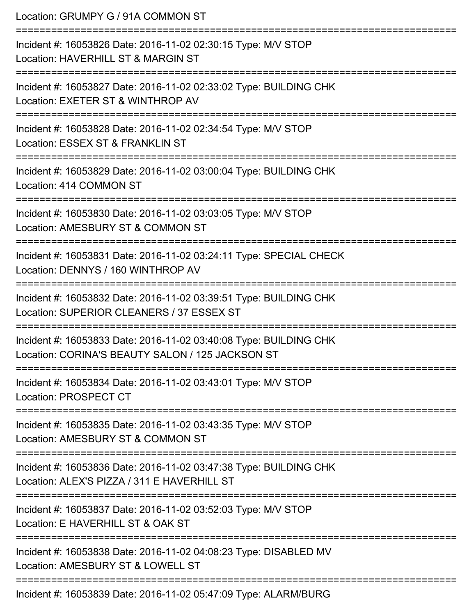Location: GRUMPY G / 91A COMMON ST =========================================================================== Incident #: 16053826 Date: 2016-11-02 02:30:15 Type: M/V STOP Location: HAVERHILL ST & MARGIN ST =========================================================================== Incident #: 16053827 Date: 2016-11-02 02:33:02 Type: BUILDING CHK Location: EXETER ST & WINTHROP AV =========================================================================== Incident #: 16053828 Date: 2016-11-02 02:34:54 Type: M/V STOP Location: ESSEX ST & FRANKLIN ST =========================================================================== Incident #: 16053829 Date: 2016-11-02 03:00:04 Type: BUILDING CHK Location: 414 COMMON ST =========================================================================== Incident #: 16053830 Date: 2016-11-02 03:03:05 Type: M/V STOP Location: AMESBURY ST & COMMON ST =========================================================================== Incident #: 16053831 Date: 2016-11-02 03:24:11 Type: SPECIAL CHECK Location: DENNYS / 160 WINTHROP AV =========================================================================== Incident #: 16053832 Date: 2016-11-02 03:39:51 Type: BUILDING CHK Location: SUPERIOR CLEANERS / 37 ESSEX ST =========================================================================== Incident #: 16053833 Date: 2016-11-02 03:40:08 Type: BUILDING CHK Location: CORINA'S BEAUTY SALON / 125 JACKSON ST =========================================================================== Incident #: 16053834 Date: 2016-11-02 03:43:01 Type: M/V STOP Location: PROSPECT CT =========================================================================== Incident #: 16053835 Date: 2016-11-02 03:43:35 Type: M/V STOP Location: AMESBURY ST & COMMON ST =========================================================================== Incident #: 16053836 Date: 2016-11-02 03:47:38 Type: BUILDING CHK Location: ALEX'S PIZZA / 311 F HAVERHILL ST =========================================================================== Incident #: 16053837 Date: 2016-11-02 03:52:03 Type: M/V STOP Location: E HAVERHILL ST & OAK ST =========================================================================== Incident #: 16053838 Date: 2016-11-02 04:08:23 Type: DISABLED MV Location: AMESBURY ST & LOWELL ST =========================================================================== Incident #: 16053839 Date: 2016-11-02 05:47:09 Type: ALARM/BURG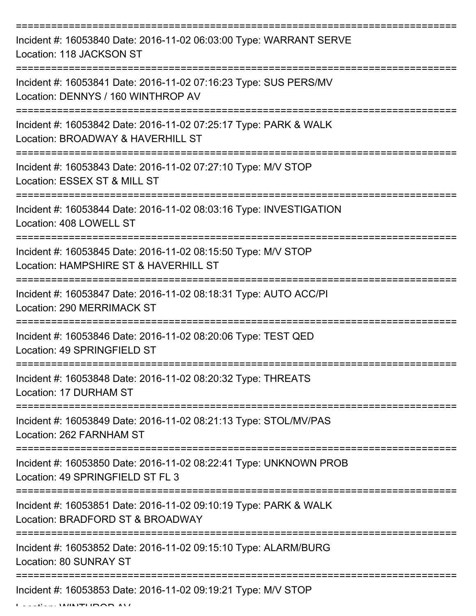| Incident #: 16053840 Date: 2016-11-02 06:03:00 Type: WARRANT SERVE<br>Location: 118 JACKSON ST         |
|--------------------------------------------------------------------------------------------------------|
| Incident #: 16053841 Date: 2016-11-02 07:16:23 Type: SUS PERS/MV<br>Location: DENNYS / 160 WINTHROP AV |
| Incident #: 16053842 Date: 2016-11-02 07:25:17 Type: PARK & WALK<br>Location: BROADWAY & HAVERHILL ST  |
| Incident #: 16053843 Date: 2016-11-02 07:27:10 Type: M/V STOP<br>Location: ESSEX ST & MILL ST          |
| Incident #: 16053844 Date: 2016-11-02 08:03:16 Type: INVESTIGATION<br>Location: 408 LOWELL ST          |
| Incident #: 16053845 Date: 2016-11-02 08:15:50 Type: M/V STOP<br>Location: HAMPSHIRE ST & HAVERHILL ST |
| Incident #: 16053847 Date: 2016-11-02 08:18:31 Type: AUTO ACC/PI<br><b>Location: 290 MERRIMACK ST</b>  |
| Incident #: 16053846 Date: 2016-11-02 08:20:06 Type: TEST QED<br>Location: 49 SPRINGFIELD ST           |
| Incident #: 16053848 Date: 2016-11-02 08:20:32 Type: THREATS<br>Location: 17 DURHAM ST                 |
| Incident #: 16053849 Date: 2016-11-02 08:21:13 Type: STOL/MV/PAS<br>Location: 262 FARNHAM ST           |
| Incident #: 16053850 Date: 2016-11-02 08:22:41 Type: UNKNOWN PROB<br>Location: 49 SPRINGFIELD ST FL 3  |
| Incident #: 16053851 Date: 2016-11-02 09:10:19 Type: PARK & WALK<br>Location: BRADFORD ST & BROADWAY   |
| Incident #: 16053852 Date: 2016-11-02 09:15:10 Type: ALARM/BURG<br>Location: 80 SUNRAY ST              |
| Incident #: 16053853 Date: 2016-11-02 09:19:21 Type: M/V STOP                                          |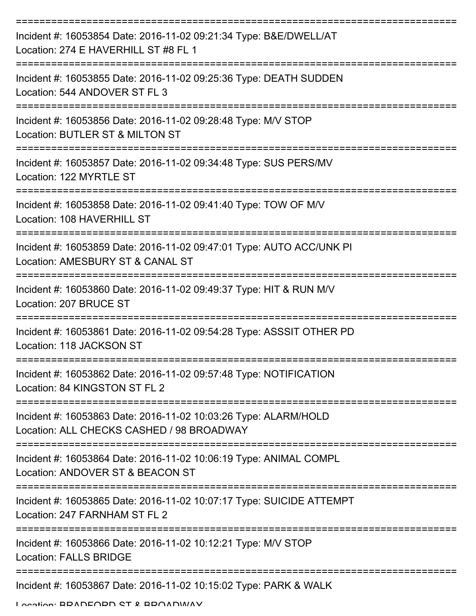| Incident #: 16053854 Date: 2016-11-02 09:21:34 Type: B&E/DWELL/AT<br>Location: 274 E HAVERHILL ST #8 FL 1    |
|--------------------------------------------------------------------------------------------------------------|
| Incident #: 16053855 Date: 2016-11-02 09:25:36 Type: DEATH SUDDEN<br>Location: 544 ANDOVER ST FL 3           |
| Incident #: 16053856 Date: 2016-11-02 09:28:48 Type: M/V STOP<br>Location: BUTLER ST & MILTON ST             |
| Incident #: 16053857 Date: 2016-11-02 09:34:48 Type: SUS PERS/MV<br>Location: 122 MYRTLE ST                  |
| Incident #: 16053858 Date: 2016-11-02 09:41:40 Type: TOW OF M/V<br>Location: 108 HAVERHILL ST                |
| Incident #: 16053859 Date: 2016-11-02 09:47:01 Type: AUTO ACC/UNK PI<br>Location: AMESBURY ST & CANAL ST     |
| Incident #: 16053860 Date: 2016-11-02 09:49:37 Type: HIT & RUN M/V<br>Location: 207 BRUCE ST                 |
| Incident #: 16053861 Date: 2016-11-02 09:54:28 Type: ASSSIT OTHER PD<br>Location: 118 JACKSON ST             |
| Incident #: 16053862 Date: 2016-11-02 09:57:48 Type: NOTIFICATION<br>Location: 84 KINGSTON ST FL 2           |
| Incident #: 16053863 Date: 2016-11-02 10:03:26 Type: ALARM/HOLD<br>Location: ALL CHECKS CASHED / 98 BROADWAY |
| Incident #: 16053864 Date: 2016-11-02 10:06:19 Type: ANIMAL COMPL<br>Location: ANDOVER ST & BEACON ST        |
| Incident #: 16053865 Date: 2016-11-02 10:07:17 Type: SUICIDE ATTEMPT<br>Location: 247 FARNHAM ST FL 2        |
| Incident #: 16053866 Date: 2016-11-02 10:12:21 Type: M/V STOP<br><b>Location: FALLS BRIDGE</b>               |
| Incident #: 16053867 Date: 2016-11-02 10:15:02 Type: PARK & WALK                                             |

Location: BRADFORD ST & BROADWAY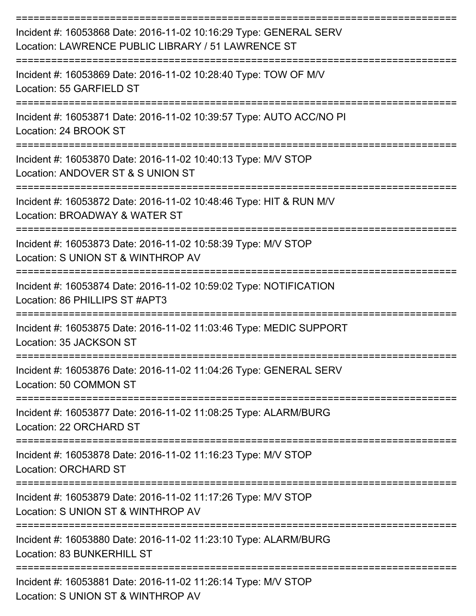| Incident #: 16053868 Date: 2016-11-02 10:16:29 Type: GENERAL SERV<br>Location: LAWRENCE PUBLIC LIBRARY / 51 LAWRENCE ST |
|-------------------------------------------------------------------------------------------------------------------------|
| Incident #: 16053869 Date: 2016-11-02 10:28:40 Type: TOW OF M/V<br>Location: 55 GARFIELD ST                             |
| Incident #: 16053871 Date: 2016-11-02 10:39:57 Type: AUTO ACC/NO PI<br>Location: 24 BROOK ST                            |
| Incident #: 16053870 Date: 2016-11-02 10:40:13 Type: M/V STOP<br>Location: ANDOVER ST & S UNION ST                      |
| Incident #: 16053872 Date: 2016-11-02 10:48:46 Type: HIT & RUN M/V<br>Location: BROADWAY & WATER ST                     |
| Incident #: 16053873 Date: 2016-11-02 10:58:39 Type: M/V STOP<br>Location: S UNION ST & WINTHROP AV                     |
| Incident #: 16053874 Date: 2016-11-02 10:59:02 Type: NOTIFICATION<br>Location: 86 PHILLIPS ST #APT3                     |
| Incident #: 16053875 Date: 2016-11-02 11:03:46 Type: MEDIC SUPPORT<br>Location: 35 JACKSON ST                           |
| Incident #: 16053876 Date: 2016-11-02 11:04:26 Type: GENERAL SERV<br>Location: 50 COMMON ST                             |
| Incident #: 16053877 Date: 2016-11-02 11:08:25 Type: ALARM/BURG<br>Location: 22 ORCHARD ST                              |
| Incident #: 16053878 Date: 2016-11-02 11:16:23 Type: M/V STOP<br>Location: ORCHARD ST                                   |
| Incident #: 16053879 Date: 2016-11-02 11:17:26 Type: M/V STOP<br>Location: S UNION ST & WINTHROP AV                     |
| Incident #: 16053880 Date: 2016-11-02 11:23:10 Type: ALARM/BURG<br>Location: 83 BUNKERHILL ST                           |
| Incident #: 16053881 Date: 2016-11-02 11:26:14 Type: M/V STOP<br>Location: S UNION ST & WINTHROP AV                     |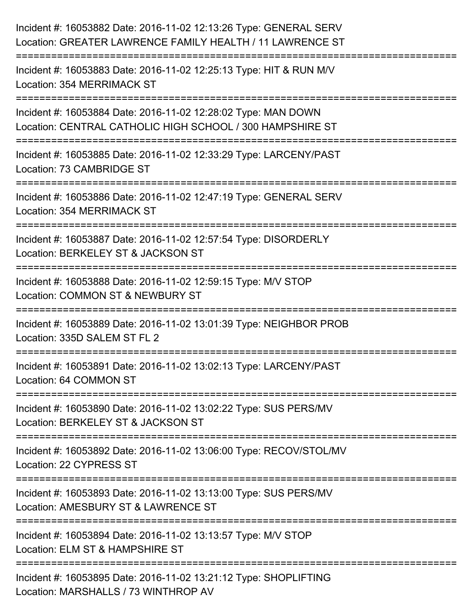| Incident #: 16053882 Date: 2016-11-02 12:13:26 Type: GENERAL SERV<br>Location: GREATER LAWRENCE FAMILY HEALTH / 11 LAWRENCE ST                                     |
|--------------------------------------------------------------------------------------------------------------------------------------------------------------------|
| ====================================<br>Incident #: 16053883 Date: 2016-11-02 12:25:13 Type: HIT & RUN M/V<br>Location: 354 MERRIMACK ST                           |
| Incident #: 16053884 Date: 2016-11-02 12:28:02 Type: MAN DOWN<br>Location: CENTRAL CATHOLIC HIGH SCHOOL / 300 HAMPSHIRE ST<br>==================================== |
| Incident #: 16053885 Date: 2016-11-02 12:33:29 Type: LARCENY/PAST<br>Location: 73 CAMBRIDGE ST                                                                     |
| Incident #: 16053886 Date: 2016-11-02 12:47:19 Type: GENERAL SERV<br><b>Location: 354 MERRIMACK ST</b>                                                             |
| Incident #: 16053887 Date: 2016-11-02 12:57:54 Type: DISORDERLY<br>Location: BERKELEY ST & JACKSON ST                                                              |
| -----------------------<br>Incident #: 16053888 Date: 2016-11-02 12:59:15 Type: M/V STOP<br>Location: COMMON ST & NEWBURY ST                                       |
| Incident #: 16053889 Date: 2016-11-02 13:01:39 Type: NEIGHBOR PROB<br>Location: 335D SALEM ST FL 2                                                                 |
| Incident #: 16053891 Date: 2016-11-02 13:02:13 Type: LARCENY/PAST<br>Location: 64 COMMON ST                                                                        |
| Incident #: 16053890 Date: 2016-11-02 13:02:22 Type: SUS PERS/MV<br>Location: BERKELEY ST & JACKSON ST                                                             |
| Incident #: 16053892 Date: 2016-11-02 13:06:00 Type: RECOV/STOL/MV<br>Location: 22 CYPRESS ST                                                                      |
| Incident #: 16053893 Date: 2016-11-02 13:13:00 Type: SUS PERS/MV<br>Location: AMESBURY ST & LAWRENCE ST                                                            |
| Incident #: 16053894 Date: 2016-11-02 13:13:57 Type: M/V STOP<br>Location: ELM ST & HAMPSHIRE ST                                                                   |
| -------------------------------<br>Incident #: 16053895 Date: 2016-11-02 13:21:12 Type: SHOPLIFTING<br>Location: MARSHALLS / 73 WINTHROP AV                        |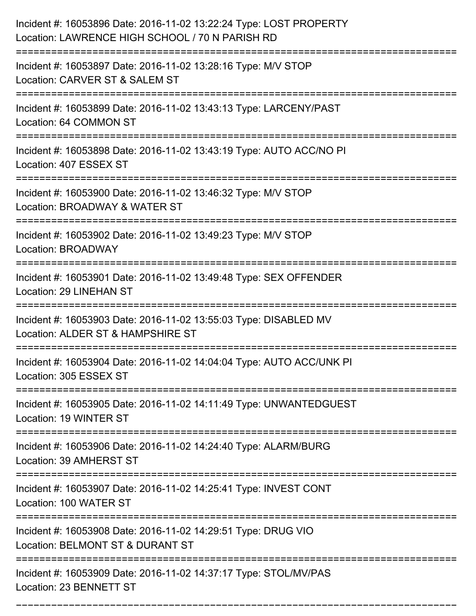| Incident #: 16053896 Date: 2016-11-02 13:22:24 Type: LOST PROPERTY<br>Location: LAWRENCE HIGH SCHOOL / 70 N PARISH RD       |
|-----------------------------------------------------------------------------------------------------------------------------|
| Incident #: 16053897 Date: 2016-11-02 13:28:16 Type: M/V STOP<br>Location: CARVER ST & SALEM ST                             |
| Incident #: 16053899 Date: 2016-11-02 13:43:13 Type: LARCENY/PAST<br>Location: 64 COMMON ST                                 |
| Incident #: 16053898 Date: 2016-11-02 13:43:19 Type: AUTO ACC/NO PI<br>Location: 407 ESSEX ST                               |
| Incident #: 16053900 Date: 2016-11-02 13:46:32 Type: M/V STOP<br>Location: BROADWAY & WATER ST<br>:======================== |
| Incident #: 16053902 Date: 2016-11-02 13:49:23 Type: M/V STOP<br>Location: BROADWAY                                         |
| Incident #: 16053901 Date: 2016-11-02 13:49:48 Type: SEX OFFENDER<br><b>Location: 29 LINEHAN ST</b>                         |
| Incident #: 16053903 Date: 2016-11-02 13:55:03 Type: DISABLED MV<br>Location: ALDER ST & HAMPSHIRE ST                       |
| Incident #: 16053904 Date: 2016-11-02 14:04:04 Type: AUTO ACC/UNK PI<br>Location: 305 ESSEX ST                              |
| Incident #: 16053905 Date: 2016-11-02 14:11:49 Type: UNWANTEDGUEST<br>Location: 19 WINTER ST                                |
| Incident #: 16053906 Date: 2016-11-02 14:24:40 Type: ALARM/BURG<br>Location: 39 AMHERST ST                                  |
| Incident #: 16053907 Date: 2016-11-02 14:25:41 Type: INVEST CONT<br>Location: 100 WATER ST<br>------------------------      |
| Incident #: 16053908 Date: 2016-11-02 14:29:51 Type: DRUG VIO<br>Location: BELMONT ST & DURANT ST                           |
| Incident #: 16053909 Date: 2016-11-02 14:37:17 Type: STOL/MV/PAS<br>Location: 23 BENNETT ST                                 |

===========================================================================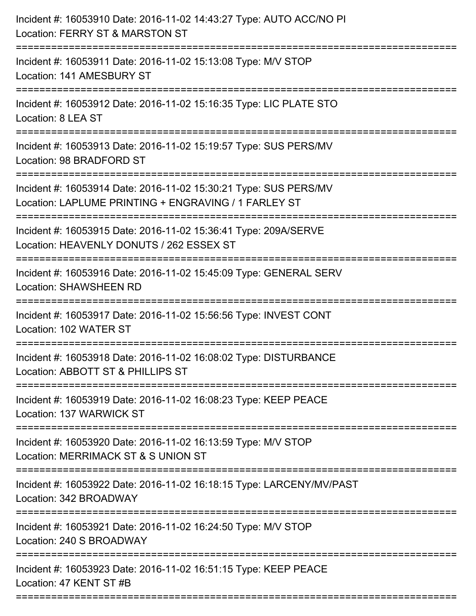| Incident #: 16053910 Date: 2016-11-02 14:43:27 Type: AUTO ACC/NO PI<br>Location: FERRY ST & MARSTON ST                                         |
|------------------------------------------------------------------------------------------------------------------------------------------------|
| ==============================<br>Incident #: 16053911 Date: 2016-11-02 15:13:08 Type: M/V STOP<br>Location: 141 AMESBURY ST<br>-------------- |
| Incident #: 16053912 Date: 2016-11-02 15:16:35 Type: LIC PLATE STO<br>Location: 8 LEA ST                                                       |
| Incident #: 16053913 Date: 2016-11-02 15:19:57 Type: SUS PERS/MV<br>Location: 98 BRADFORD ST                                                   |
| Incident #: 16053914 Date: 2016-11-02 15:30:21 Type: SUS PERS/MV<br>Location: LAPLUME PRINTING + ENGRAVING / 1 FARLEY ST                       |
| Incident #: 16053915 Date: 2016-11-02 15:36:41 Type: 209A/SERVE<br>Location: HEAVENLY DONUTS / 262 ESSEX ST<br>---------------------           |
| Incident #: 16053916 Date: 2016-11-02 15:45:09 Type: GENERAL SERV<br><b>Location: SHAWSHEEN RD</b>                                             |
| Incident #: 16053917 Date: 2016-11-02 15:56:56 Type: INVEST CONT<br>Location: 102 WATER ST                                                     |
| Incident #: 16053918 Date: 2016-11-02 16:08:02 Type: DISTURBANCE<br>Location: ABBOTT ST & PHILLIPS ST                                          |
| Incident #: 16053919 Date: 2016-11-02 16:08:23 Type: KEEP PEACE<br>Location: 137 WARWICK ST                                                    |
| Incident #: 16053920 Date: 2016-11-02 16:13:59 Type: M/V STOP<br>Location: MERRIMACK ST & S UNION ST                                           |
| Incident #: 16053922 Date: 2016-11-02 16:18:15 Type: LARCENY/MV/PAST<br>Location: 342 BROADWAY                                                 |
| Incident #: 16053921 Date: 2016-11-02 16:24:50 Type: M/V STOP<br>Location: 240 S BROADWAY                                                      |
| Incident #: 16053923 Date: 2016-11-02 16:51:15 Type: KEEP PEACE<br>Location: 47 KENT ST #B                                                     |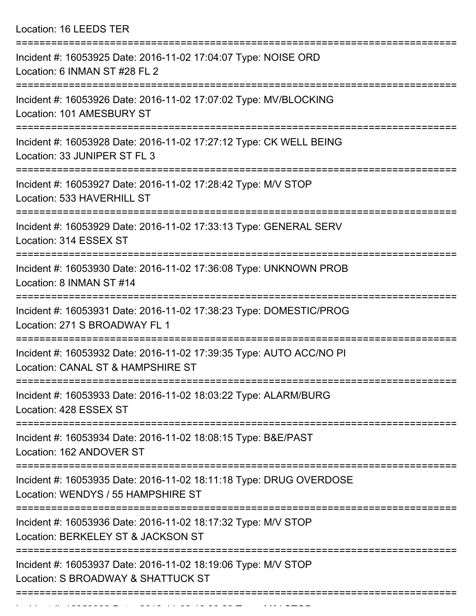Location: 16 LEEDS TER

| Incident #: 16053925 Date: 2016-11-02 17:04:07 Type: NOISE ORD<br>Location: 6 INMAN ST #28 FL 2          |
|----------------------------------------------------------------------------------------------------------|
| Incident #: 16053926 Date: 2016-11-02 17:07:02 Type: MV/BLOCKING<br>Location: 101 AMESBURY ST            |
| Incident #: 16053928 Date: 2016-11-02 17:27:12 Type: CK WELL BEING<br>Location: 33 JUNIPER ST FL 3       |
| Incident #: 16053927 Date: 2016-11-02 17:28:42 Type: M/V STOP<br>Location: 533 HAVERHILL ST              |
| Incident #: 16053929 Date: 2016-11-02 17:33:13 Type: GENERAL SERV<br>Location: 314 ESSEX ST              |
| Incident #: 16053930 Date: 2016-11-02 17:36:08 Type: UNKNOWN PROB<br>Location: 8 INMAN ST #14            |
| Incident #: 16053931 Date: 2016-11-02 17:38:23 Type: DOMESTIC/PROG<br>Location: 271 S BROADWAY FL 1      |
| Incident #: 16053932 Date: 2016-11-02 17:39:35 Type: AUTO ACC/NO PI<br>Location: CANAL ST & HAMPSHIRE ST |
| Incident #: 16053933 Date: 2016-11-02 18:03:22 Type: ALARM/BURG<br>Location: 428 ESSEX ST                |
| Incident #: 16053934 Date: 2016-11-02 18:08:15 Type: B&E/PAST<br>Location: 162 ANDOVER ST                |
| Incident #: 16053935 Date: 2016-11-02 18:11:18 Type: DRUG OVERDOSE<br>Location: WENDYS / 55 HAMPSHIRE ST |
| Incident #: 16053936 Date: 2016-11-02 18:17:32 Type: M/V STOP<br>Location: BERKELEY ST & JACKSON ST      |
| Incident #: 16053937 Date: 2016-11-02 18:19:06 Type: M/V STOP<br>Location: S BROADWAY & SHATTUCK ST      |
|                                                                                                          |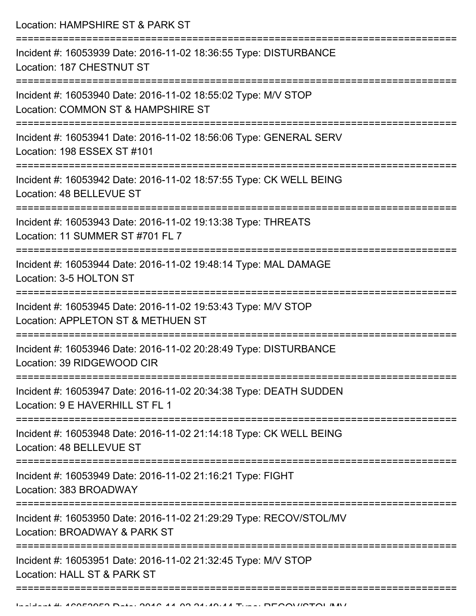Location: HAMPSHIRE ST & PARK ST =========================================================================== Incident #: 16053939 Date: 2016-11-02 18:36:55 Type: DISTURBANCE Location: 187 CHESTNUT ST =========================================================================== Incident #: 16053940 Date: 2016-11-02 18:55:02 Type: M/V STOP Location: COMMON ST & HAMPSHIRE ST =========================================================================== Incident #: 16053941 Date: 2016-11-02 18:56:06 Type: GENERAL SERV Location: 198 ESSEX ST #101 =========================================================================== Incident #: 16053942 Date: 2016-11-02 18:57:55 Type: CK WELL BEING Location: 48 BELLEVUE ST =========================================================================== Incident #: 16053943 Date: 2016-11-02 19:13:38 Type: THREATS Location: 11 SUMMER ST #701 FL 7 =========================================================================== Incident #: 16053944 Date: 2016-11-02 19:48:14 Type: MAL DAMAGE Location: 3-5 HOLTON ST =========================================================================== Incident #: 16053945 Date: 2016-11-02 19:53:43 Type: M/V STOP Location: APPLETON ST & METHUEN ST =========================================================================== Incident #: 16053946 Date: 2016-11-02 20:28:49 Type: DISTURBANCE Location: 39 RIDGEWOOD CIR =========================================================================== Incident #: 16053947 Date: 2016-11-02 20:34:38 Type: DEATH SUDDEN Location: 9 E HAVERHILL ST FL 1 =========================================================================== Incident #: 16053948 Date: 2016-11-02 21:14:18 Type: CK WELL BEING Location: 48 BELLEVUE ST =========================================================================== Incident #: 16053949 Date: 2016-11-02 21:16:21 Type: FIGHT Location: 383 BROADWAY =========================================================================== Incident #: 16053950 Date: 2016-11-02 21:29:29 Type: RECOV/STOL/MV Location: BROADWAY & PARK ST =========================================================================== Incident #: 16053951 Date: 2016-11-02 21:32:45 Type: M/V STOP Location: HALL ST & PARK ST ===========================================================================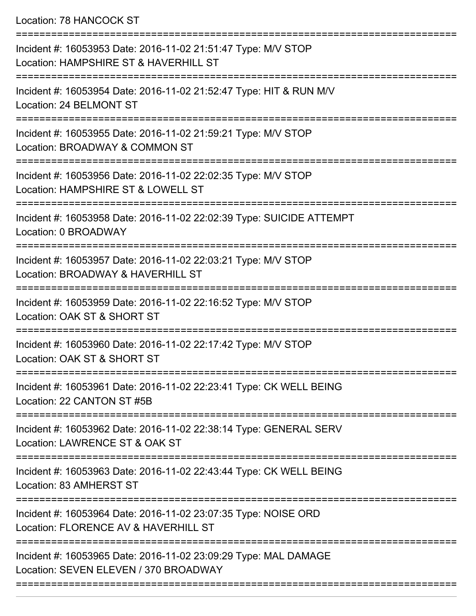## Location: 78 HANCOCK ST

| Incident #: 16053953 Date: 2016-11-02 21:51:47 Type: M/V STOP<br>Location: HAMPSHIRE ST & HAVERHILL ST   |
|----------------------------------------------------------------------------------------------------------|
| Incident #: 16053954 Date: 2016-11-02 21:52:47 Type: HIT & RUN M/V<br>Location: 24 BELMONT ST            |
| Incident #: 16053955 Date: 2016-11-02 21:59:21 Type: M/V STOP<br>Location: BROADWAY & COMMON ST          |
| Incident #: 16053956 Date: 2016-11-02 22:02:35 Type: M/V STOP<br>Location: HAMPSHIRE ST & LOWELL ST      |
| Incident #: 16053958 Date: 2016-11-02 22:02:39 Type: SUICIDE ATTEMPT<br>Location: 0 BROADWAY             |
| Incident #: 16053957 Date: 2016-11-02 22:03:21 Type: M/V STOP<br>Location: BROADWAY & HAVERHILL ST       |
| Incident #: 16053959 Date: 2016-11-02 22:16:52 Type: M/V STOP<br>Location: OAK ST & SHORT ST             |
| Incident #: 16053960 Date: 2016-11-02 22:17:42 Type: M/V STOP<br>Location: OAK ST & SHORT ST             |
| Incident #: 16053961 Date: 2016-11-02 22:23:41 Type: CK WELL BEING<br>Location: 22 CANTON ST #5B         |
| Incident #: 16053962 Date: 2016-11-02 22:38:14 Type: GENERAL SERV<br>Location: LAWRENCE ST & OAK ST      |
| Incident #: 16053963 Date: 2016-11-02 22:43:44 Type: CK WELL BEING<br>Location: 83 AMHERST ST            |
| Incident #: 16053964 Date: 2016-11-02 23:07:35 Type: NOISE ORD<br>Location: FLORENCE AV & HAVERHILL ST   |
| Incident #: 16053965 Date: 2016-11-02 23:09:29 Type: MAL DAMAGE<br>Location: SEVEN ELEVEN / 370 BROADWAY |
|                                                                                                          |